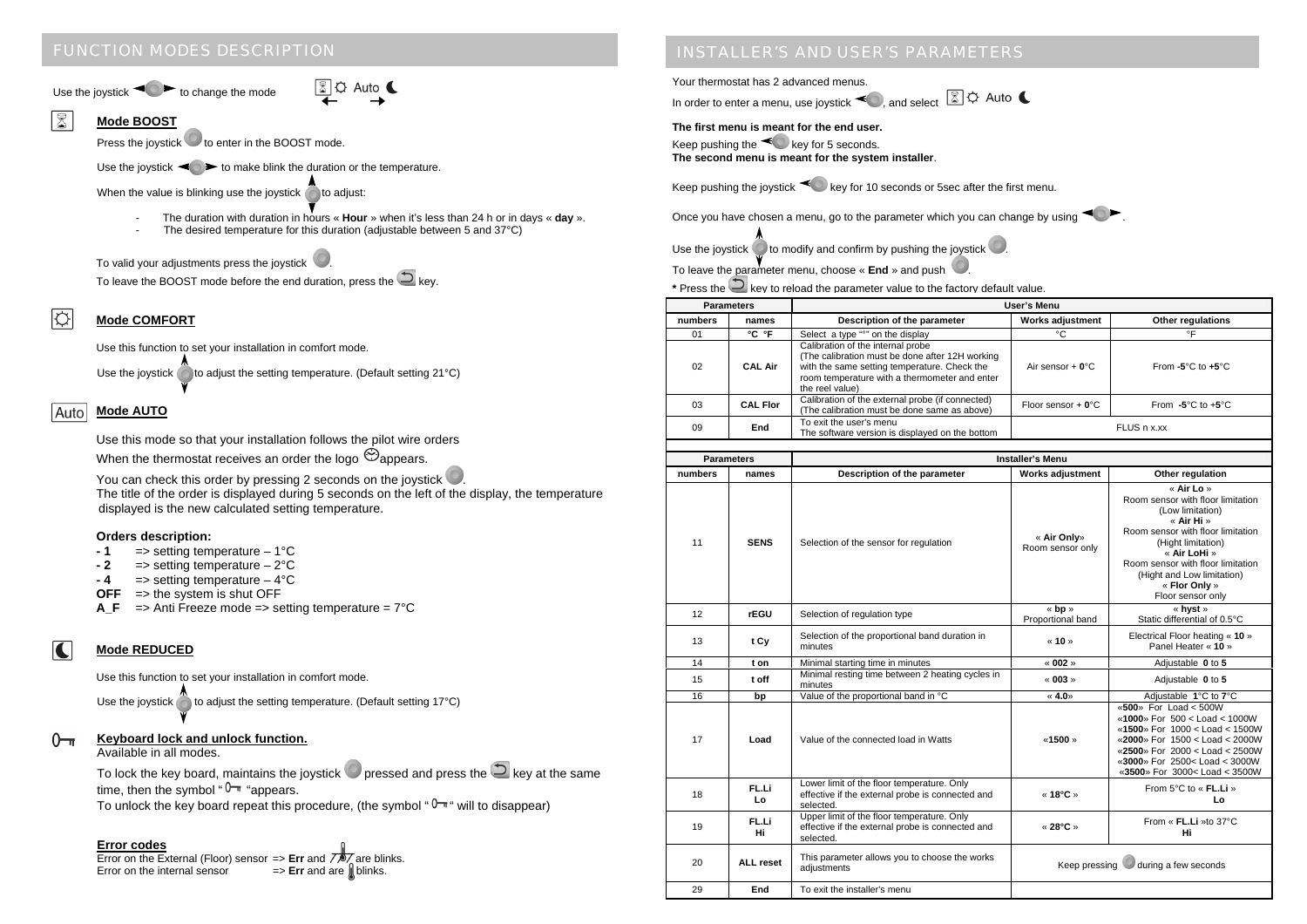# FUNCTION MODES DESCRIPTION

Use the joystick  $\triangle$  to change the mode

#### $\sqrt{8}$ **Mode BOOST**

Press the joystick  $\bullet$  to enter in the BOOST mode.

Use the joystick  $\triangleleft \diamond$  to make blink the duration or the temperature.

When the value is blinking use the joystick  $\bigcirc$  to adjust:

- The duration with duration in hours « **Hour** » when it's less than 24 h or in days « **day** ».

**8 C Auto** 

The desired temperature for this duration (adjustable between 5 and 37°C)

To valid your adiustments press the joystick

To leave the BOOST mode before the end duration, press the  $\Box$  key.

#### I¢ **Mode COMFORT**

Use this function to set your installation in comfort mode.

Use the joystick  $\bigcirc$  to adjust the setting temperature. (Default setting 21°C)

## **Mode AUTO**

Use this mode so that your installation follows the pilot wire orders When the thermostat receives an order the logo  $\odot$  appears.

You can check this order by pressing 2 seconds on the joystick  $\bullet$ . The title of the order is displayed during 5 seconds on the left of the display, the temperature displayed is the new calculated setting temperature.

### **Orders description:**

- **1** => setting temperature 1°C
- **2** => setting temperature 2°C
- **4** => setting temperature 4°C
- **OFF** => the system is shut OFF
- **A\_F** => Anti Freeze mode => setting temperature = 7°C

## **Mode REDUCED**

K

Use this function to set your installation in comfort mode.

Use the joystick  $\bigcirc$  to adjust the setting temperature. (Default setting 17°C)

#### **Keyboard lock and unlock function.**  $0<sub>1</sub>$

Available in all modes.

To lock the key board, maintains the joystick  $\bullet$  pressed and press the  $\circledcirc$  key at the same time, then the symbol " $0 -$ " "appears.

To unlock the key board repeat this procedure, (the symbol " $\sqrt[n]{\pi}$ " will to disappear)

## **Error codes**

Error on the External (Floor) sensor => Err and  $\overline{\mathcal{L}}$  are blinks. Error on the internal sensor  $=$  **Err** and are **blinks**.

# INSTALLER'S AND USER'S PARAMETERS

Your thermostat has 2 advanced menus.

In order to enter a menu, use joystick  $\blacktriangledown$ , and select

**The first menu is meant for the end user.** 

```
Keep pushing the \leq key for 5 seconds.
The second menu is meant for the system installer.
```
Keep pushing the joystick  $\triangleleft$  key for 10 seconds or 5sec after the first menu.

Once you have chosen a menu, go to the parameter which you can change by using  $\triangle$ 

Use the joystick  $\bigcirc$  to modify and confirm by pushing the joystick  $\bigcirc$ 

To leave the parameter menu, choose « **End** » and push .

**\*** Press the key to reload the parameter value to the factory default value.

| <b>Parameters</b> |                 | <b>User's Menu</b>                                                                                                                                                                                       |                       |                                       |  |
|-------------------|-----------------|----------------------------------------------------------------------------------------------------------------------------------------------------------------------------------------------------------|-----------------------|---------------------------------------|--|
| numbers           | names           | Description of the parameter                                                                                                                                                                             | Works adjustment      | Other regulations                     |  |
| 01                | °C °F           | Select a type "on the display"                                                                                                                                                                           | °C                    | ۰F                                    |  |
| 02                | <b>CAL Air</b>  | Calibration of the internal probe<br>(The calibration must be done after 12H working<br>with the same setting temperature. Check the<br>room temperature with a thermometer and enter<br>the reel value) | Air sensor $+ 0$ °C   | From $-5^{\circ}$ C to $+5^{\circ}$ C |  |
| 03                | <b>CAL Flor</b> | Calibration of the external probe (if connected)<br>(The calibration must be done same as above)                                                                                                         | Floor sensor $+ 0$ °C | From $-5^{\circ}$ C to $+5^{\circ}$ C |  |
| 09                | End             | To exit the user's menu<br>The software version is displayed on the bottom                                                                                                                               | FLUS n x.xx           |                                       |  |

| <b>Parameters</b> |             | <b>Installer's Menu</b>                                                                                     |                                       |                                                                                                                                                                                                                                                                       |  |
|-------------------|-------------|-------------------------------------------------------------------------------------------------------------|---------------------------------------|-----------------------------------------------------------------------------------------------------------------------------------------------------------------------------------------------------------------------------------------------------------------------|--|
| numbers           | names       | Description of the parameter                                                                                | <b>Works adjustment</b>               | Other regulation                                                                                                                                                                                                                                                      |  |
| 11                | <b>SENS</b> | Selection of the sensor for regulation                                                                      | « Air Only»<br>Room sensor only       | « Air Lo »<br>Room sensor with floor limitation<br>(Low limitation)<br>« Air Hi »<br>Room sensor with floor limitation<br>(Hight limitation)<br>« Air LoHi »<br>Room sensor with floor limitation<br>(Hight and Low limitation)<br>« Flor Only »<br>Floor sensor only |  |
| 12                | rEGU        | Selection of regulation type                                                                                | « bp »<br>Proportional band           | « hvst »<br>Static differential of 0.5°C                                                                                                                                                                                                                              |  |
| 13                | t Cy        | Selection of the proportional band duration in<br>minutes                                                   | « 10 »                                | Electrical Floor heating « 10 »<br>Panel Heater « 10 »                                                                                                                                                                                                                |  |
| 14                | t on        | Minimal starting time in minutes                                                                            | « 002 »                               | Adjustable 0 to 5                                                                                                                                                                                                                                                     |  |
| 15                | t off       | Minimal resting time between 2 heating cycles in<br>minutes                                                 | « 003 »                               | Adjustable 0 to 5                                                                                                                                                                                                                                                     |  |
| 16                | bp          | Value of the proportional band in °C                                                                        | « 4.0»                                | Adjustable 1°C to 7°C                                                                                                                                                                                                                                                 |  |
| 17                | Load        | Value of the connected load in Watts                                                                        | «1500»                                | «500» For Load < 500W<br>«1000» For 500 < Load < 1000W<br>«1500» For 1000 < Load < 1500W<br>«2000» For 1500 < Load < 2000W<br>«2500» For 2000 < Load < 2500W<br>«3000» For 2500< Load < 3000W<br>«3500» For 3000< Load < 3500W                                        |  |
| 18                | FL.Li<br>Lo | Lower limit of the floor temperature. Only<br>effective if the external probe is connected and<br>selected. | « 18°C »                              | From 5°C to « FL.Li »<br>Lo                                                                                                                                                                                                                                           |  |
| 19                | FL.Li<br>Hi | Upper limit of the floor temperature. Only<br>effective if the external probe is connected and<br>selected. | « 28°C »                              | From « FL.Li »to 37°C<br>Hi                                                                                                                                                                                                                                           |  |
| 20                | ALL reset   | This parameter allows you to choose the works<br>adjustments                                                | Keep pressing<br>during a few seconds |                                                                                                                                                                                                                                                                       |  |
| 29                | End         | To exit the installer's menu                                                                                |                                       |                                                                                                                                                                                                                                                                       |  |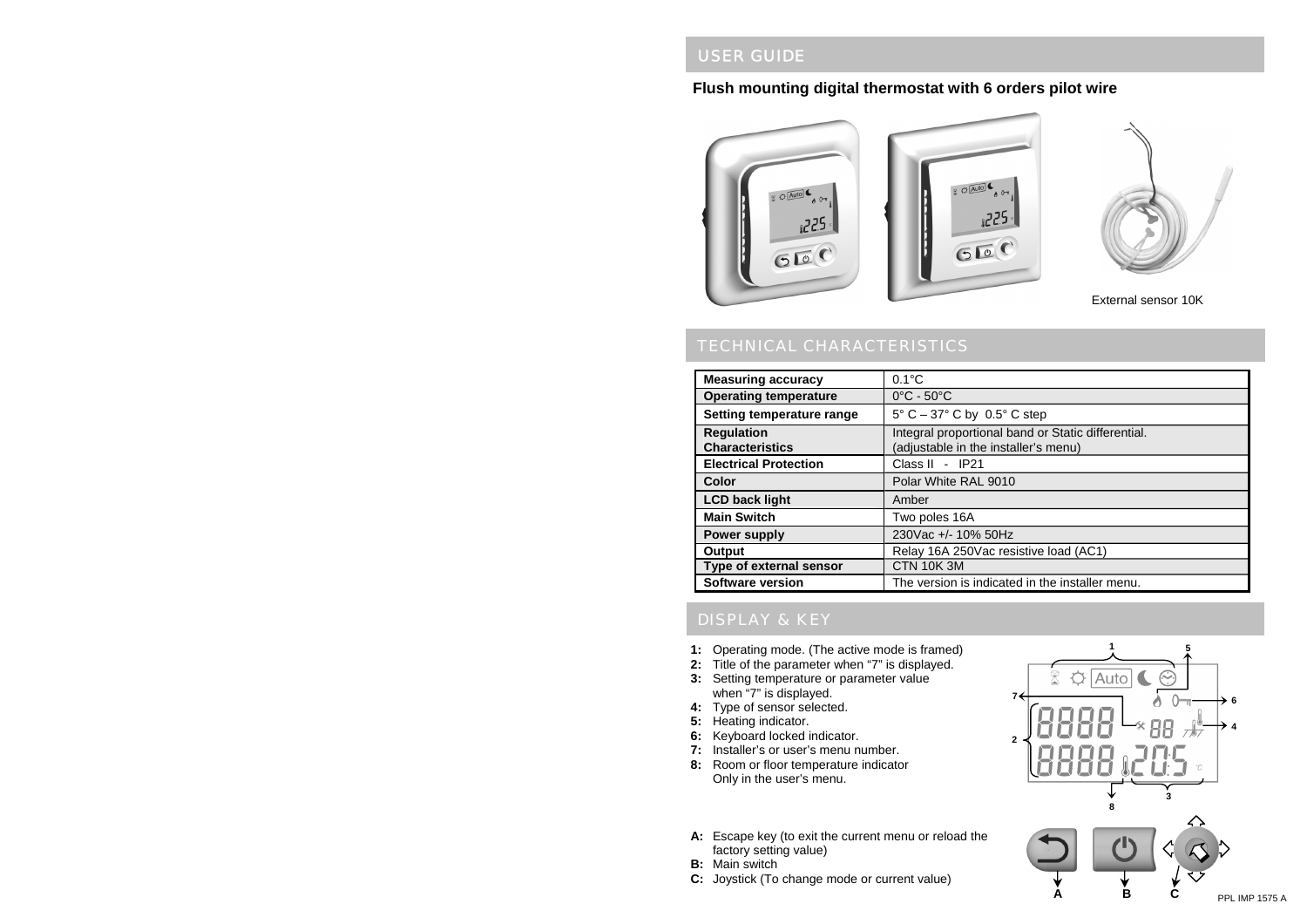## USER GUIDE

## **Flush mounting digital thermostat with 6 orders pilot wire**



## TECHNICAL CHARACTERISTICS

| <b>Measuring accuracy</b>    | $0.1^{\circ}$ C                                    |
|------------------------------|----------------------------------------------------|
| <b>Operating temperature</b> | $0^{\circ}$ C - 50 $^{\circ}$ C                    |
| Setting temperature range    | 5° C - 37° C by 0.5° C step                        |
| <b>Regulation</b>            | Integral proportional band or Static differential. |
| <b>Characteristics</b>       | (adjustable in the installer's menu)               |
| <b>Electrical Protection</b> | Class II - IP21                                    |
| Color                        | Polar White RAL 9010                               |
| <b>LCD back light</b>        | Amber                                              |
| <b>Main Switch</b>           | Two poles 16A                                      |
| Power supply                 | 230Vac +/- 10% 50Hz                                |
| Output                       | Relay 16A 250Vac resistive load (AC1)              |
| Type of external sensor      | <b>CTN 10K3M</b>                                   |
| <b>Software version</b>      | The version is indicated in the installer menu.    |

## DISPLAY & KEY

- **1:** Operating mode. (The active mode is framed)
- **2:** Title of the parameter when "7" is displayed.
- **3:** Setting temperature or parameter value when "7" is displayed.
- **4:** Type of sensor selected.
- **5:** Heating indicator.
- **6:** Keyboard locked indicator.
- **7:** Installer's or user's menu number.
- **8:** Room or floor temperature indicator Only in the user's menu.
- **15** $\frac{1}{2}$   $\frac{1}{2}$  Auto **<sup>7</sup> 642**b Н Н h **38A B C** PPL IMP 1575 A
- **A:** Escape key (to exit the current menu or reload the factory setting value)
- **B:** Main switch
- **C:** Joystick (To change mode or current value)